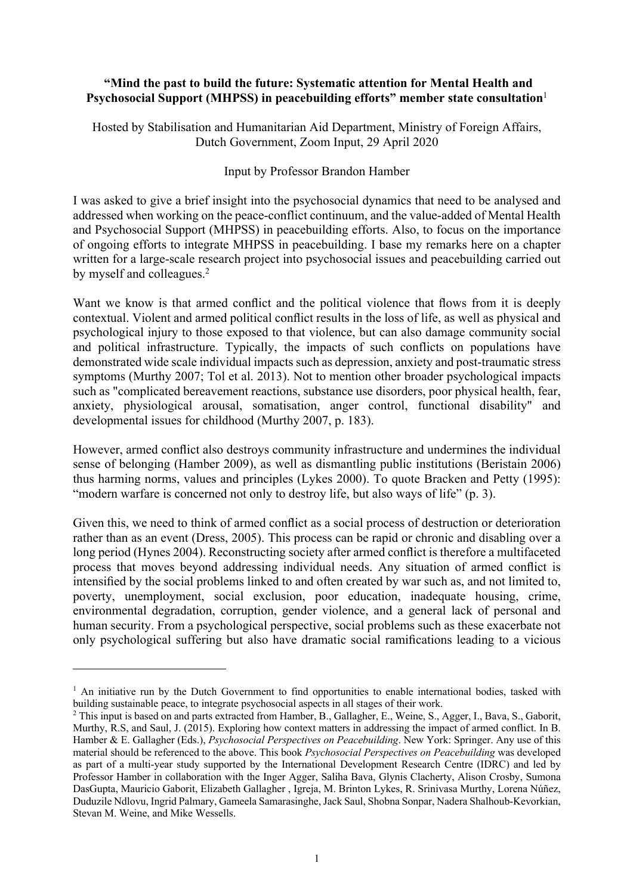## **"Mind the past to build the future: Systematic attention for Mental Health and Psychosocial Support (MHPSS) in peacebuilding efforts" member state consultation**<sup>1</sup>

Hosted by Stabilisation and Humanitarian Aid Department, Ministry of Foreign Affairs, Dutch Government, Zoom Input, 29 April 2020

## Input by Professor Brandon Hamber

I was asked to give a brief insight into the psychosocial dynamics that need to be analysed and addressed when working on the peace-conflict continuum, and the value-added of Mental Health and Psychosocial Support (MHPSS) in peacebuilding efforts. Also, to focus on the importance of ongoing efforts to integrate MHPSS in peacebuilding. I base my remarks here on a chapter written for a large-scale research project into psychosocial issues and peacebuilding carried out by myself and colleagues.<sup>2</sup>

Want we know is that armed conflict and the political violence that flows from it is deeply contextual. Violent and armed political conflict results in the loss of life, as well as physical and psychological injury to those exposed to that violence, but can also damage community social and political infrastructure. Typically, the impacts of such conflicts on populations have demonstrated wide scale individual impacts such as depression, anxiety and post-traumatic stress symptoms (Murthy 2007; Tol et al. 2013). Not to mention other broader psychological impacts such as "complicated bereavement reactions, substance use disorders, poor physical health, fear, anxiety, physiological arousal, somatisation, anger control, functional disability" and developmental issues for childhood (Murthy 2007, p. 183).

However, armed conflict also destroys community infrastructure and undermines the individual sense of belonging (Hamber 2009), as well as dismantling public institutions (Beristain 2006) thus harming norms, values and principles (Lykes 2000). To quote Bracken and Petty (1995): "modern warfare is concerned not only to destroy life, but also ways of life" (p. 3).

Given this, we need to think of armed conflict as a social process of destruction or deterioration rather than as an event (Dress, 2005). This process can be rapid or chronic and disabling over a long period (Hynes 2004). Reconstructing society after armed conflict is therefore a multifaceted process that moves beyond addressing individual needs. Any situation of armed conflict is intensified by the social problems linked to and often created by war such as, and not limited to, poverty, unemployment, social exclusion, poor education, inadequate housing, crime, environmental degradation, corruption, gender violence, and a general lack of personal and human security. From a psychological perspective, social problems such as these exacerbate not only psychological suffering but also have dramatic social ramifications leading to a vicious

<sup>&</sup>lt;sup>1</sup> An initiative run by the Dutch Government to find opportunities to enable international bodies, tasked with building sustainable peace, to integrate psychosocial aspects in all stages of their work.

<sup>&</sup>lt;sup>2</sup> This input is based on and parts extracted from Hamber, B., Gallagher, E., Weine, S., Agger, I., Bava, S., Gaborit, Murthy, R.S, and Saul, J. (2015). Exploring how context matters in addressing the impact of armed conflict. In B. Hamber & E. Gallagher (Eds.), *Psychosocial Perspectives on Peacebuilding*. New York: Springer. Any use of this material should be referenced to the above. This book *Psychosocial Perspectives on Peacebuilding* was developed as part of a multi-year study supported by the International Development Research Centre (IDRC) and led by Professor Hamber in collaboration with the Inger Agger, Saliha Bava, Glynis Clacherty, Alison Crosby, Sumona DasGupta, Mauricio Gaborit, Elizabeth Gallagher , Igreja, M. Brinton Lykes, R. Srinivasa Murthy, Lorena Núñez, Duduzile Ndlovu, Ingrid Palmary, Gameela Samarasinghe, Jack Saul, Shobna Sonpar, Nadera Shalhoub-Kevorkian, Stevan M. Weine, and Mike Wessells.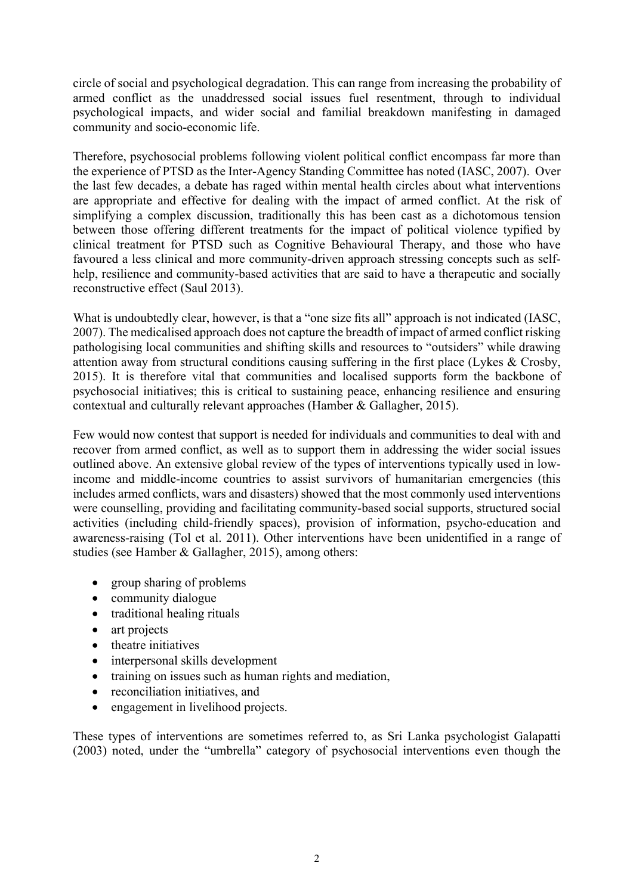circle of social and psychological degradation. This can range from increasing the probability of armed conflict as the unaddressed social issues fuel resentment, through to individual psychological impacts, and wider social and familial breakdown manifesting in damaged community and socio-economic life.

Therefore, psychosocial problems following violent political conflict encompass far more than the experience of PTSD as the Inter-Agency Standing Committee has noted (IASC, 2007). Over the last few decades, a debate has raged within mental health circles about what interventions are appropriate and effective for dealing with the impact of armed conflict. At the risk of simplifying a complex discussion, traditionally this has been cast as a dichotomous tension between those offering different treatments for the impact of political violence typified by clinical treatment for PTSD such as Cognitive Behavioural Therapy, and those who have favoured a less clinical and more community-driven approach stressing concepts such as selfhelp, resilience and community-based activities that are said to have a therapeutic and socially reconstructive effect (Saul 2013).

What is undoubtedly clear, however, is that a "one size fits all" approach is not indicated (IASC, 2007). The medicalised approach does not capture the breadth of impact of armed conflict risking pathologising local communities and shifting skills and resources to "outsiders" while drawing attention away from structural conditions causing suffering in the first place (Lykes & Crosby, 2015). It is therefore vital that communities and localised supports form the backbone of psychosocial initiatives; this is critical to sustaining peace, enhancing resilience and ensuring contextual and culturally relevant approaches (Hamber & Gallagher, 2015).

Few would now contest that support is needed for individuals and communities to deal with and recover from armed conflict, as well as to support them in addressing the wider social issues outlined above. An extensive global review of the types of interventions typically used in lowincome and middle-income countries to assist survivors of humanitarian emergencies (this includes armed conflicts, wars and disasters) showed that the most commonly used interventions were counselling, providing and facilitating community-based social supports, structured social activities (including child-friendly spaces), provision of information, psycho-education and awareness-raising (Tol et al. 2011). Other interventions have been unidentified in a range of studies (see Hamber & Gallagher, 2015), among others:

- group sharing of problems
- community dialogue
- traditional healing rituals
- art projects
- theatre initiatives
- interpersonal skills development
- training on issues such as human rights and mediation,
- reconciliation initiatives, and
- engagement in livelihood projects.

These types of interventions are sometimes referred to, as Sri Lanka psychologist Galapatti (2003) noted, under the "umbrella" category of psychosocial interventions even though the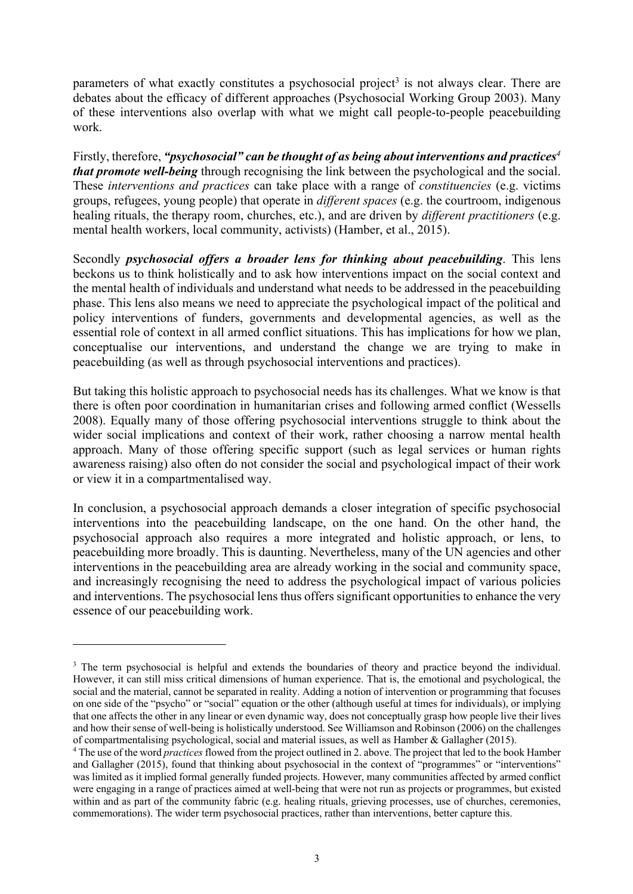parameters of what exactly constitutes a psychosocial project<sup>3</sup> is not always clear. There are debates about the efficacy of different approaches (Psychosocial Working Group 2003). Many of these interventions also overlap with what we might call people-to-people peacebuilding work.

Firstly, therefore, *"psychosocial" can be thought of as being about interventions and practices<sup>4</sup> that promote well-being* through recognising the link between the psychological and the social. These *interventions and practices* can take place with a range of *constituencies* (e.g. victims groups, refugees, young people) that operate in *different spaces* (e.g. the courtroom, indigenous healing rituals, the therapy room, churches, etc.), and are driven by *different practitioners* (e.g. mental health workers, local community, activists) (Hamber, et al., 2015).

Secondly *psychosocial offers a broader lens for thinking about peacebuilding*. This lens beckons us to think holistically and to ask how interventions impact on the social context and the mental health of individuals and understand what needs to be addressed in the peacebuilding phase. This lens also means we need to appreciate the psychological impact of the political and policy interventions of funders, governments and developmental agencies, as well as the essential role of context in all armed conflict situations. This has implications for how we plan, conceptualise our interventions, and understand the change we are trying to make in peacebuilding (as well as through psychosocial interventions and practices).

But taking this holistic approach to psychosocial needs has its challenges. What we know is that there is often poor coordination in humanitarian crises and following armed conflict (Wessells 2008). Equally many of those offering psychosocial interventions struggle to think about the wider social implications and context of their work, rather choosing a narrow mental health approach. Many of those offering specific support (such as legal services or human rights awareness raising) also often do not consider the social and psychological impact of their work or view it in a compartmentalised way.

In conclusion, a psychosocial approach demands a closer integration of specific psychosocial interventions into the peacebuilding landscape, on the one hand. On the other hand, the psychosocial approach also requires a more integrated and holistic approach, or lens, to peacebuilding more broadly. This is daunting. Nevertheless, many of the UN agencies and other interventions in the peacebuilding area are already working in the social and community space, and increasingly recognising the need to address the psychological impact of various policies and interventions. The psychosocial lens thus offers significant opportunities to enhance the very essence of our peacebuilding work.

<sup>&</sup>lt;sup>3</sup> The term psychosocial is helpful and extends the boundaries of theory and practice beyond the individual. However, it can still miss critical dimensions of human experience. That is, the emotional and psychological, the social and the material, cannot be separated in reality. Adding a notion of intervention or programming that focuses on one side of the "psycho" or "social" equation or the other (although useful at times for individuals), or implying that one affects the other in any linear or even dynamic way, does not conceptually grasp how people live their lives and how their sense of well-being is holistically understood. See Williamson and Robinson (2006) on the challenges of compartmentalising psychological, social and material issues, as well as Hamber & Gallagher (2015).

<sup>4</sup> The use of the word *practices* flowed from the project outlined in 2. above. The project that led to the book Hamber and Gallagher (2015), found that thinking about psychosocial in the context of "programmes" or "interventions" was limited as it implied formal generally funded projects. However, many communities affected by armed conflict were engaging in a range of practices aimed at well-being that were not run as projects or programmes, but existed within and as part of the community fabric (e.g. healing rituals, grieving processes, use of churches, ceremonies, commemorations). The wider term psychosocial practices, rather than interventions, better capture this.